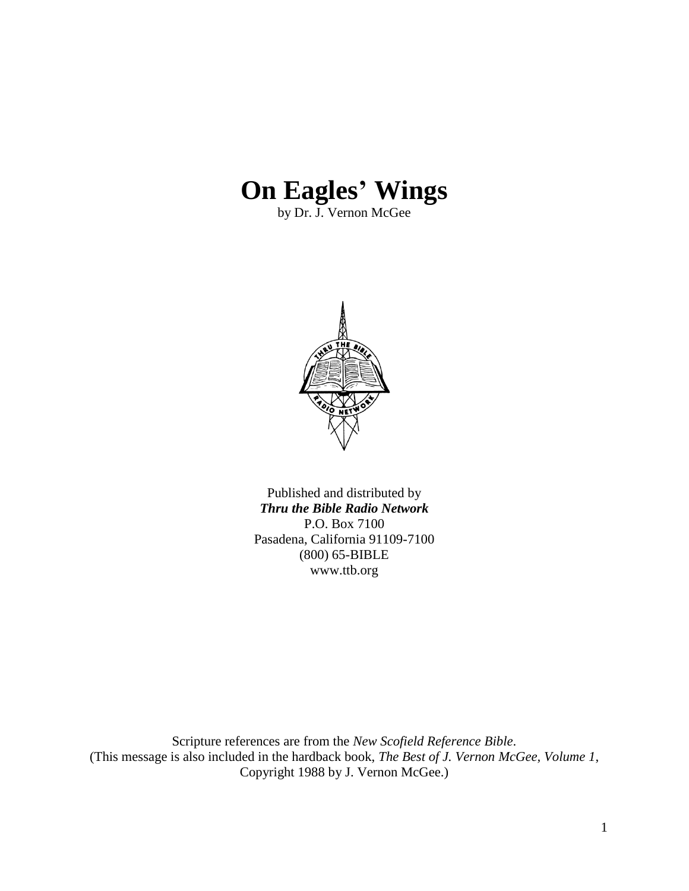# **On Eagles' Wings**

by Dr. J. Vernon McGee



Published and distributed by *Thru the Bible Radio Network* P.O. Box 7100 Pasadena, California 91109-7100 (800) 65-BIBLE www.ttb.org

Scripture references are from the *New Scofield Reference Bible*. (This message is also included in the hardback book, *The Best of J. Vernon McGee, Volume 1*, Copyright 1988 by J. Vernon McGee.)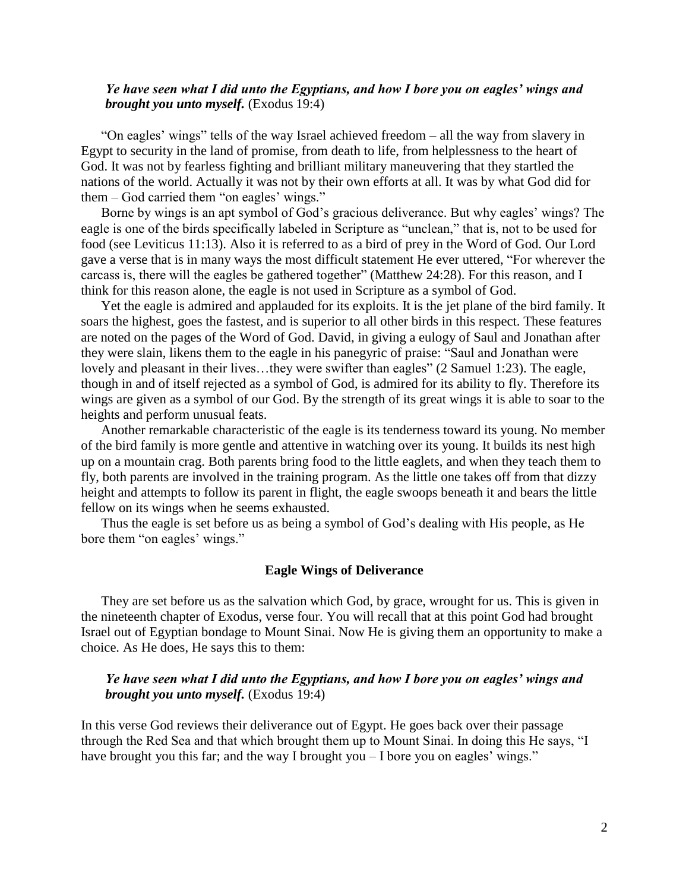# *Ye have seen what I did unto the Egyptians, and how I bore you on eagles' wings and brought you unto myself.* (Exodus 19:4)

"On eagles' wings" tells of the way Israel achieved freedom – all the way from slavery in Egypt to security in the land of promise, from death to life, from helplessness to the heart of God. It was not by fearless fighting and brilliant military maneuvering that they startled the nations of the world. Actually it was not by their own efforts at all. It was by what God did for them – God carried them "on eagles' wings."

Borne by wings is an apt symbol of God's gracious deliverance. But why eagles' wings? The eagle is one of the birds specifically labeled in Scripture as "unclean," that is, not to be used for food (see Leviticus 11:13). Also it is referred to as a bird of prey in the Word of God. Our Lord gave a verse that is in many ways the most difficult statement He ever uttered, "For wherever the carcass is, there will the eagles be gathered together" (Matthew 24:28). For this reason, and I think for this reason alone, the eagle is not used in Scripture as a symbol of God.

Yet the eagle is admired and applauded for its exploits. It is the jet plane of the bird family. It soars the highest, goes the fastest, and is superior to all other birds in this respect. These features are noted on the pages of the Word of God. David, in giving a eulogy of Saul and Jonathan after they were slain, likens them to the eagle in his panegyric of praise: "Saul and Jonathan were lovely and pleasant in their lives...they were swifter than eagles" (2 Samuel 1:23). The eagle, though in and of itself rejected as a symbol of God, is admired for its ability to fly. Therefore its wings are given as a symbol of our God. By the strength of its great wings it is able to soar to the heights and perform unusual feats.

Another remarkable characteristic of the eagle is its tenderness toward its young. No member of the bird family is more gentle and attentive in watching over its young. It builds its nest high up on a mountain crag. Both parents bring food to the little eaglets, and when they teach them to fly, both parents are involved in the training program. As the little one takes off from that dizzy height and attempts to follow its parent in flight, the eagle swoops beneath it and bears the little fellow on its wings when he seems exhausted.

Thus the eagle is set before us as being a symbol of God's dealing with His people, as He bore them "on eagles' wings."

## **Eagle Wings of Deliverance**

They are set before us as the salvation which God, by grace, wrought for us. This is given in the nineteenth chapter of Exodus, verse four. You will recall that at this point God had brought Israel out of Egyptian bondage to Mount Sinai. Now He is giving them an opportunity to make a choice. As He does, He says this to them:

# *Ye have seen what I did unto the Egyptians, and how I bore you on eagles' wings and brought you unto myself.* (Exodus 19:4)

In this verse God reviews their deliverance out of Egypt. He goes back over their passage through the Red Sea and that which brought them up to Mount Sinai. In doing this He says, "I have brought you this far; and the way I brought you – I bore you on eagles' wings."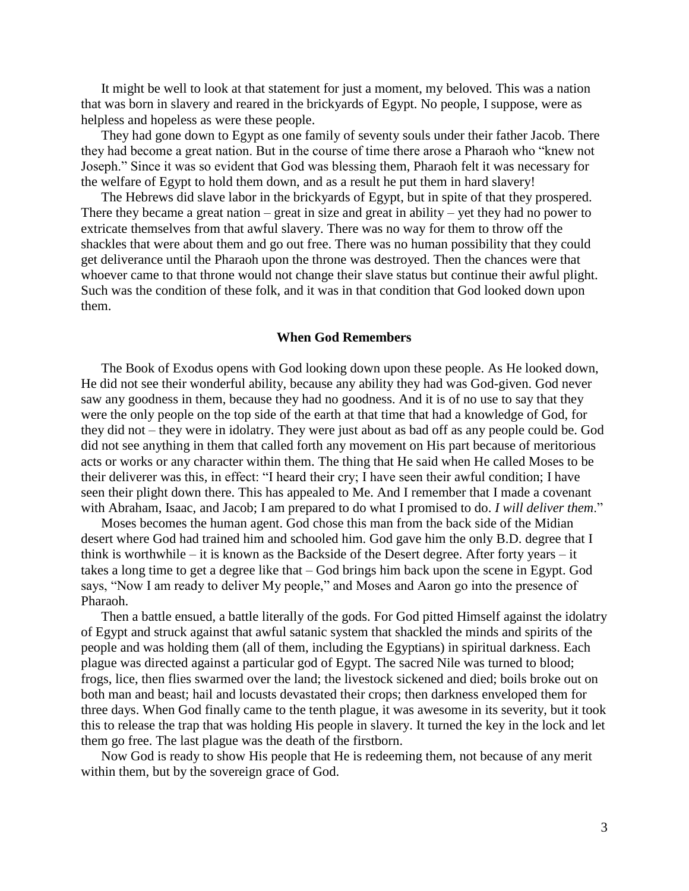It might be well to look at that statement for just a moment, my beloved. This was a nation that was born in slavery and reared in the brickyards of Egypt. No people, I suppose, were as helpless and hopeless as were these people.

They had gone down to Egypt as one family of seventy souls under their father Jacob. There they had become a great nation. But in the course of time there arose a Pharaoh who "knew not Joseph." Since it was so evident that God was blessing them, Pharaoh felt it was necessary for the welfare of Egypt to hold them down, and as a result he put them in hard slavery!

The Hebrews did slave labor in the brickyards of Egypt, but in spite of that they prospered. There they became a great nation – great in size and great in ability – yet they had no power to extricate themselves from that awful slavery. There was no way for them to throw off the shackles that were about them and go out free. There was no human possibility that they could get deliverance until the Pharaoh upon the throne was destroyed. Then the chances were that whoever came to that throne would not change their slave status but continue their awful plight. Such was the condition of these folk, and it was in that condition that God looked down upon them.

### **When God Remembers**

The Book of Exodus opens with God looking down upon these people. As He looked down, He did not see their wonderful ability, because any ability they had was God-given. God never saw any goodness in them, because they had no goodness. And it is of no use to say that they were the only people on the top side of the earth at that time that had a knowledge of God, for they did not – they were in idolatry. They were just about as bad off as any people could be. God did not see anything in them that called forth any movement on His part because of meritorious acts or works or any character within them. The thing that He said when He called Moses to be their deliverer was this, in effect: "I heard their cry; I have seen their awful condition; I have seen their plight down there. This has appealed to Me. And I remember that I made a covenant with Abraham, Isaac, and Jacob; I am prepared to do what I promised to do. *I will deliver them*."

Moses becomes the human agent. God chose this man from the back side of the Midian desert where God had trained him and schooled him. God gave him the only B.D. degree that I think is worthwhile – it is known as the Backside of the Desert degree. After forty years – it takes a long time to get a degree like that – God brings him back upon the scene in Egypt. God says, "Now I am ready to deliver My people," and Moses and Aaron go into the presence of Pharaoh.

Then a battle ensued, a battle literally of the gods. For God pitted Himself against the idolatry of Egypt and struck against that awful satanic system that shackled the minds and spirits of the people and was holding them (all of them, including the Egyptians) in spiritual darkness. Each plague was directed against a particular god of Egypt. The sacred Nile was turned to blood; frogs, lice, then flies swarmed over the land; the livestock sickened and died; boils broke out on both man and beast; hail and locusts devastated their crops; then darkness enveloped them for three days. When God finally came to the tenth plague, it was awesome in its severity, but it took this to release the trap that was holding His people in slavery. It turned the key in the lock and let them go free. The last plague was the death of the firstborn.

Now God is ready to show His people that He is redeeming them, not because of any merit within them, but by the sovereign grace of God.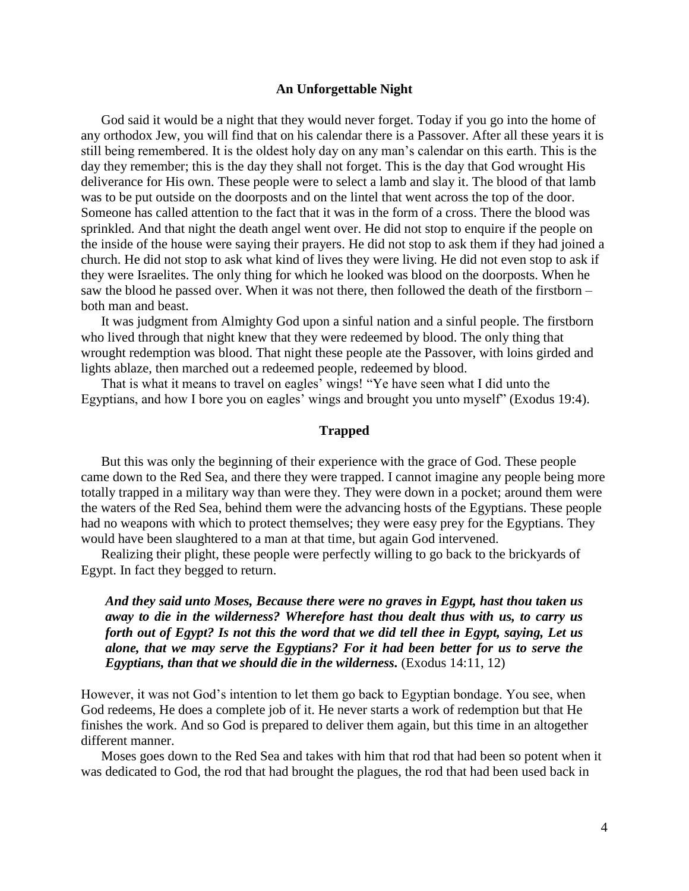#### **An Unforgettable Night**

God said it would be a night that they would never forget. Today if you go into the home of any orthodox Jew, you will find that on his calendar there is a Passover. After all these years it is still being remembered. It is the oldest holy day on any man's calendar on this earth. This is the day they remember; this is the day they shall not forget. This is the day that God wrought His deliverance for His own. These people were to select a lamb and slay it. The blood of that lamb was to be put outside on the doorposts and on the lintel that went across the top of the door. Someone has called attention to the fact that it was in the form of a cross. There the blood was sprinkled. And that night the death angel went over. He did not stop to enquire if the people on the inside of the house were saying their prayers. He did not stop to ask them if they had joined a church. He did not stop to ask what kind of lives they were living. He did not even stop to ask if they were Israelites. The only thing for which he looked was blood on the doorposts. When he saw the blood he passed over. When it was not there, then followed the death of the firstborn – both man and beast.

It was judgment from Almighty God upon a sinful nation and a sinful people. The firstborn who lived through that night knew that they were redeemed by blood. The only thing that wrought redemption was blood. That night these people ate the Passover, with loins girded and lights ablaze, then marched out a redeemed people, redeemed by blood.

That is what it means to travel on eagles' wings! "Ye have seen what I did unto the Egyptians, and how I bore you on eagles' wings and brought you unto myself" (Exodus 19:4).

# **Trapped**

But this was only the beginning of their experience with the grace of God. These people came down to the Red Sea, and there they were trapped. I cannot imagine any people being more totally trapped in a military way than were they. They were down in a pocket; around them were the waters of the Red Sea, behind them were the advancing hosts of the Egyptians. These people had no weapons with which to protect themselves; they were easy prey for the Egyptians. They would have been slaughtered to a man at that time, but again God intervened.

Realizing their plight, these people were perfectly willing to go back to the brickyards of Egypt. In fact they begged to return.

*And they said unto Moses, Because there were no graves in Egypt, hast thou taken us away to die in the wilderness? Wherefore hast thou dealt thus with us, to carry us forth out of Egypt? Is not this the word that we did tell thee in Egypt, saying, Let us alone, that we may serve the Egyptians? For it had been better for us to serve the Egyptians, than that we should die in the wilderness.* (Exodus 14:11, 12)

However, it was not God's intention to let them go back to Egyptian bondage. You see, when God redeems, He does a complete job of it. He never starts a work of redemption but that He finishes the work. And so God is prepared to deliver them again, but this time in an altogether different manner.

Moses goes down to the Red Sea and takes with him that rod that had been so potent when it was dedicated to God, the rod that had brought the plagues, the rod that had been used back in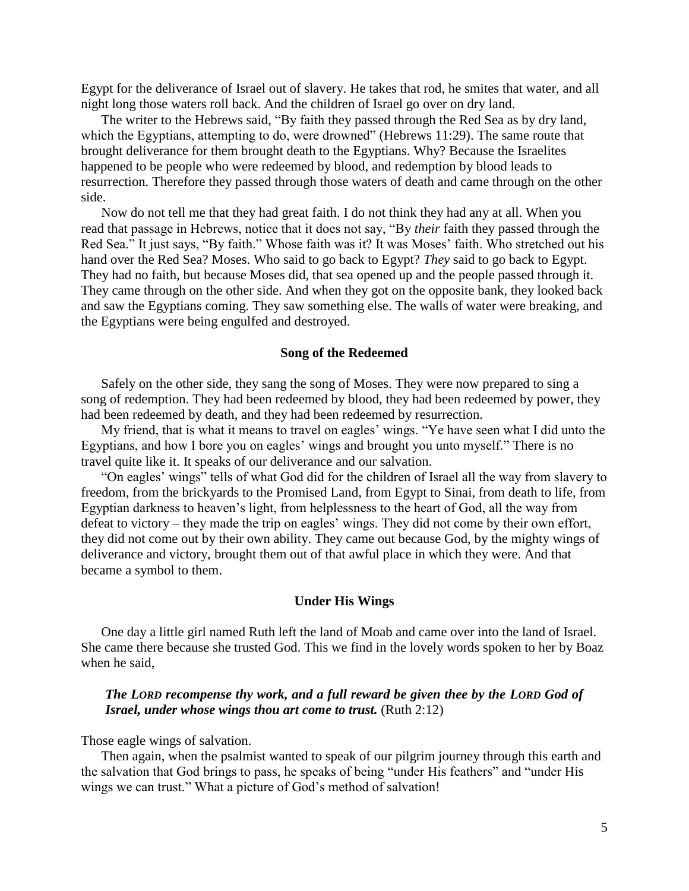Egypt for the deliverance of Israel out of slavery. He takes that rod, he smites that water, and all night long those waters roll back. And the children of Israel go over on dry land.

The writer to the Hebrews said, "By faith they passed through the Red Sea as by dry land, which the Egyptians, attempting to do, were drowned" (Hebrews 11:29). The same route that brought deliverance for them brought death to the Egyptians. Why? Because the Israelites happened to be people who were redeemed by blood, and redemption by blood leads to resurrection. Therefore they passed through those waters of death and came through on the other side.

Now do not tell me that they had great faith. I do not think they had any at all. When you read that passage in Hebrews, notice that it does not say, "By *their* faith they passed through the Red Sea." It just says, "By faith." Whose faith was it? It was Moses' faith. Who stretched out his hand over the Red Sea? Moses. Who said to go back to Egypt? *They* said to go back to Egypt. They had no faith, but because Moses did, that sea opened up and the people passed through it. They came through on the other side. And when they got on the opposite bank, they looked back and saw the Egyptians coming. They saw something else. The walls of water were breaking, and the Egyptians were being engulfed and destroyed.

## **Song of the Redeemed**

Safely on the other side, they sang the song of Moses. They were now prepared to sing a song of redemption. They had been redeemed by blood, they had been redeemed by power, they had been redeemed by death, and they had been redeemed by resurrection.

My friend, that is what it means to travel on eagles' wings. "Ye have seen what I did unto the Egyptians, and how I bore you on eagles' wings and brought you unto myself." There is no travel quite like it. It speaks of our deliverance and our salvation.

"On eagles' wings" tells of what God did for the children of Israel all the way from slavery to freedom, from the brickyards to the Promised Land, from Egypt to Sinai, from death to life, from Egyptian darkness to heaven's light, from helplessness to the heart of God, all the way from defeat to victory – they made the trip on eagles' wings. They did not come by their own effort, they did not come out by their own ability. They came out because God, by the mighty wings of deliverance and victory, brought them out of that awful place in which they were. And that became a symbol to them.

#### **Under His Wings**

One day a little girl named Ruth left the land of Moab and came over into the land of Israel. She came there because she trusted God. This we find in the lovely words spoken to her by Boaz when he said,

# *The LORD recompense thy work, and a full reward be given thee by the LORD God of <i>Israel, under whose wings thou art come to trust.* (Ruth 2:12)

Those eagle wings of salvation.

Then again, when the psalmist wanted to speak of our pilgrim journey through this earth and the salvation that God brings to pass, he speaks of being "under His feathers" and "under His wings we can trust." What a picture of God's method of salvation!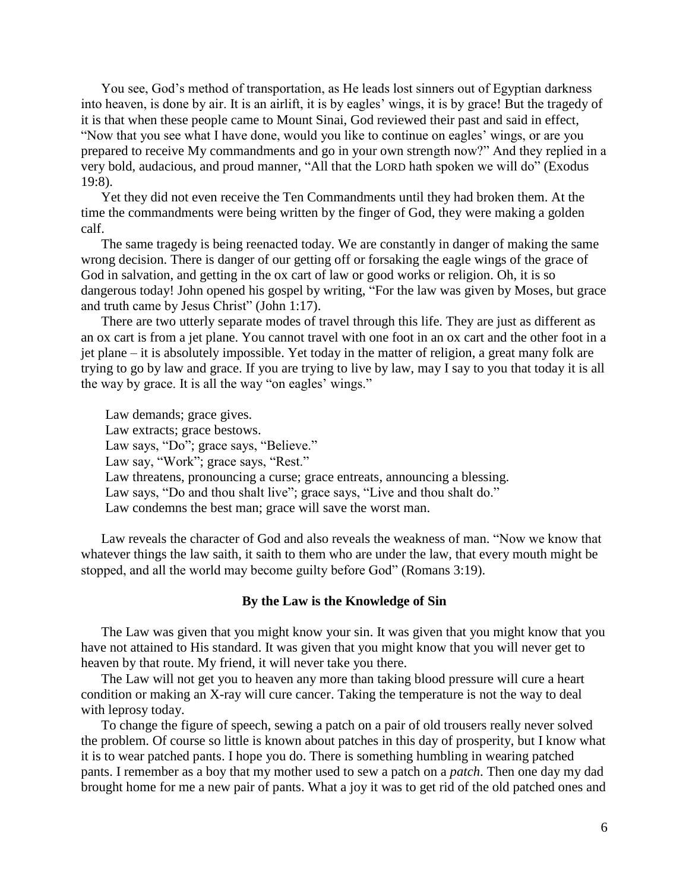You see, God's method of transportation, as He leads lost sinners out of Egyptian darkness into heaven, is done by air. It is an airlift, it is by eagles' wings, it is by grace! But the tragedy of it is that when these people came to Mount Sinai, God reviewed their past and said in effect, "Now that you see what I have done, would you like to continue on eagles' wings, or are you prepared to receive My commandments and go in your own strength now?" And they replied in a very bold, audacious, and proud manner, "All that the LORD hath spoken we will do" (Exodus 19:8).

Yet they did not even receive the Ten Commandments until they had broken them. At the time the commandments were being written by the finger of God, they were making a golden calf.

The same tragedy is being reenacted today. We are constantly in danger of making the same wrong decision. There is danger of our getting off or forsaking the eagle wings of the grace of God in salvation, and getting in the ox cart of law or good works or religion. Oh, it is so dangerous today! John opened his gospel by writing, "For the law was given by Moses, but grace and truth came by Jesus Christ" (John 1:17).

There are two utterly separate modes of travel through this life. They are just as different as an ox cart is from a jet plane. You cannot travel with one foot in an ox cart and the other foot in a jet plane – it is absolutely impossible. Yet today in the matter of religion, a great many folk are trying to go by law and grace. If you are trying to live by law, may I say to you that today it is all the way by grace. It is all the way "on eagles' wings."

Law demands; grace gives. Law extracts; grace bestows. Law says, "Do"; grace says, "Believe." Law say, "Work"; grace says, "Rest." Law threatens, pronouncing a curse; grace entreats, announcing a blessing. Law says, "Do and thou shalt live"; grace says, "Live and thou shalt do." Law condemns the best man; grace will save the worst man.

Law reveals the character of God and also reveals the weakness of man. "Now we know that whatever things the law saith, it saith to them who are under the law, that every mouth might be stopped, and all the world may become guilty before God" (Romans 3:19).

### **By the Law is the Knowledge of Sin**

The Law was given that you might know your sin. It was given that you might know that you have not attained to His standard. It was given that you might know that you will never get to heaven by that route. My friend, it will never take you there.

The Law will not get you to heaven any more than taking blood pressure will cure a heart condition or making an X-ray will cure cancer. Taking the temperature is not the way to deal with leprosy today.

To change the figure of speech, sewing a patch on a pair of old trousers really never solved the problem. Of course so little is known about patches in this day of prosperity, but I know what it is to wear patched pants. I hope you do. There is something humbling in wearing patched pants. I remember as a boy that my mother used to sew a patch on a *patch*. Then one day my dad brought home for me a new pair of pants. What a joy it was to get rid of the old patched ones and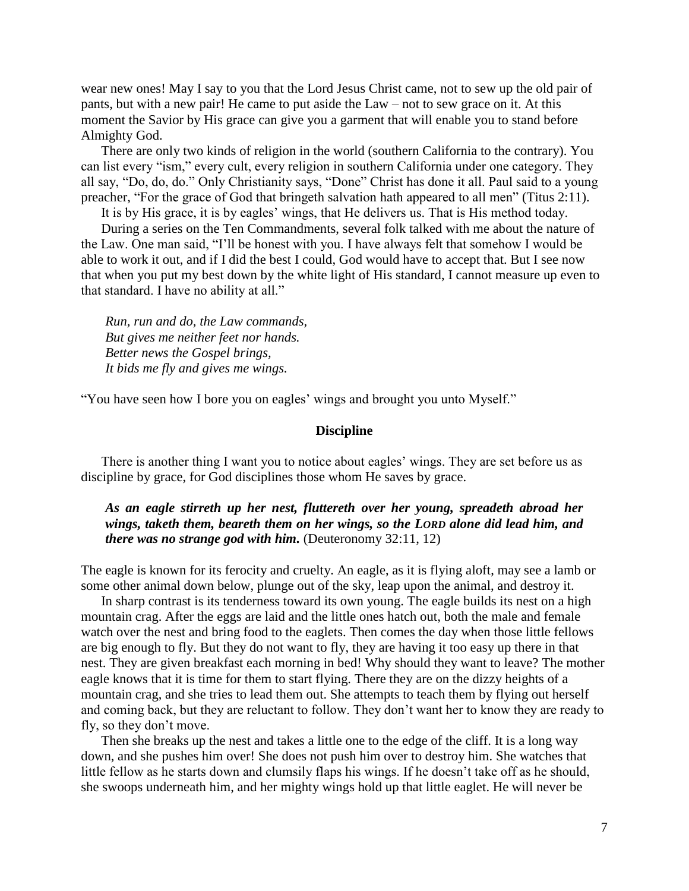wear new ones! May I say to you that the Lord Jesus Christ came, not to sew up the old pair of pants, but with a new pair! He came to put aside the Law – not to sew grace on it. At this moment the Savior by His grace can give you a garment that will enable you to stand before Almighty God.

There are only two kinds of religion in the world (southern California to the contrary). You can list every "ism," every cult, every religion in southern California under one category. They all say, "Do, do, do." Only Christianity says, "Done" Christ has done it all. Paul said to a young preacher, "For the grace of God that bringeth salvation hath appeared to all men" (Titus 2:11).

It is by His grace, it is by eagles' wings, that He delivers us. That is His method today. During a series on the Ten Commandments, several folk talked with me about the nature of the Law. One man said, "I'll be honest with you. I have always felt that somehow I would be able to work it out, and if I did the best I could, God would have to accept that. But I see now that when you put my best down by the white light of His standard, I cannot measure up even to that standard. I have no ability at all."

*Run, run and do, the Law commands, But gives me neither feet nor hands. Better news the Gospel brings, It bids me fly and gives me wings.*

"You have seen how I bore you on eagles' wings and brought you unto Myself."

## **Discipline**

There is another thing I want you to notice about eagles' wings. They are set before us as discipline by grace, for God disciplines those whom He saves by grace.

# *As an eagle stirreth up her nest, fluttereth over her young, spreadeth abroad her wings, taketh them, beareth them on her wings, so the LORD alone did lead him, and there was no strange god with him.* (Deuteronomy 32:11, 12)

The eagle is known for its ferocity and cruelty. An eagle, as it is flying aloft, may see a lamb or some other animal down below, plunge out of the sky, leap upon the animal, and destroy it.

In sharp contrast is its tenderness toward its own young. The eagle builds its nest on a high mountain crag. After the eggs are laid and the little ones hatch out, both the male and female watch over the nest and bring food to the eaglets. Then comes the day when those little fellows are big enough to fly. But they do not want to fly, they are having it too easy up there in that nest. They are given breakfast each morning in bed! Why should they want to leave? The mother eagle knows that it is time for them to start flying. There they are on the dizzy heights of a mountain crag, and she tries to lead them out. She attempts to teach them by flying out herself and coming back, but they are reluctant to follow. They don't want her to know they are ready to fly, so they don't move.

Then she breaks up the nest and takes a little one to the edge of the cliff. It is a long way down, and she pushes him over! She does not push him over to destroy him. She watches that little fellow as he starts down and clumsily flaps his wings. If he doesn't take off as he should, she swoops underneath him, and her mighty wings hold up that little eaglet. He will never be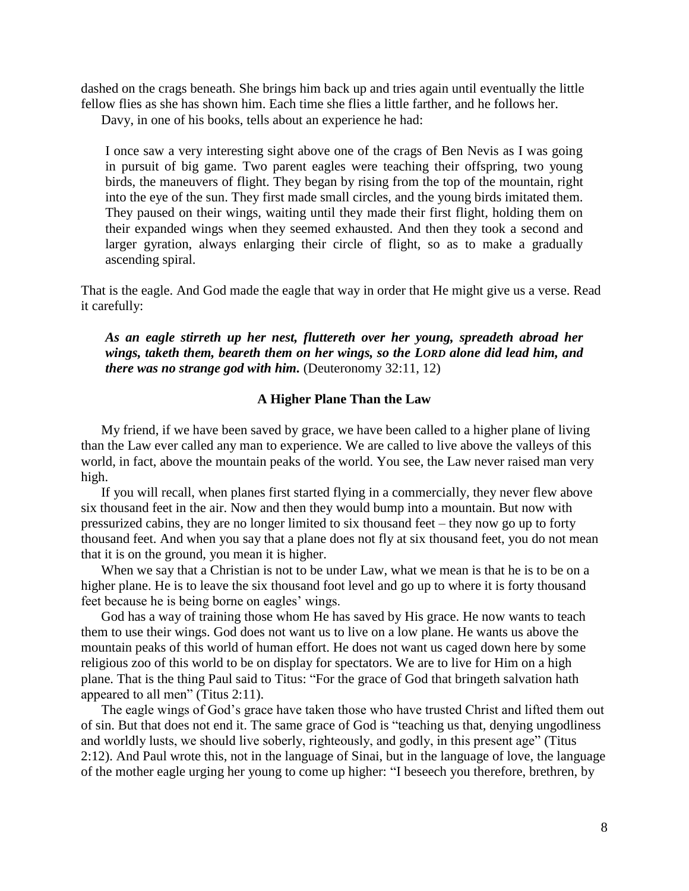dashed on the crags beneath. She brings him back up and tries again until eventually the little fellow flies as she has shown him. Each time she flies a little farther, and he follows her.

Davy, in one of his books, tells about an experience he had:

I once saw a very interesting sight above one of the crags of Ben Nevis as I was going in pursuit of big game. Two parent eagles were teaching their offspring, two young birds, the maneuvers of flight. They began by rising from the top of the mountain, right into the eye of the sun. They first made small circles, and the young birds imitated them. They paused on their wings, waiting until they made their first flight, holding them on their expanded wings when they seemed exhausted. And then they took a second and larger gyration, always enlarging their circle of flight, so as to make a gradually ascending spiral.

That is the eagle. And God made the eagle that way in order that He might give us a verse. Read it carefully:

*As an eagle stirreth up her nest, fluttereth over her young, spreadeth abroad her wings, taketh them, beareth them on her wings, so the LORD alone did lead him, and there was no strange god with him.* (Deuteronomy 32:11, 12)

## **A Higher Plane Than the Law**

My friend, if we have been saved by grace, we have been called to a higher plane of living than the Law ever called any man to experience. We are called to live above the valleys of this world, in fact, above the mountain peaks of the world. You see, the Law never raised man very high.

If you will recall, when planes first started flying in a commercially, they never flew above six thousand feet in the air. Now and then they would bump into a mountain. But now with pressurized cabins, they are no longer limited to six thousand feet – they now go up to forty thousand feet. And when you say that a plane does not fly at six thousand feet, you do not mean that it is on the ground, you mean it is higher.

When we say that a Christian is not to be under Law, what we mean is that he is to be on a higher plane. He is to leave the six thousand foot level and go up to where it is forty thousand feet because he is being borne on eagles' wings.

God has a way of training those whom He has saved by His grace. He now wants to teach them to use their wings. God does not want us to live on a low plane. He wants us above the mountain peaks of this world of human effort. He does not want us caged down here by some religious zoo of this world to be on display for spectators. We are to live for Him on a high plane. That is the thing Paul said to Titus: "For the grace of God that bringeth salvation hath appeared to all men" (Titus 2:11).

The eagle wings of God's grace have taken those who have trusted Christ and lifted them out of sin. But that does not end it. The same grace of God is "teaching us that, denying ungodliness and worldly lusts, we should live soberly, righteously, and godly, in this present age" (Titus 2:12). And Paul wrote this, not in the language of Sinai, but in the language of love, the language of the mother eagle urging her young to come up higher: "I beseech you therefore, brethren, by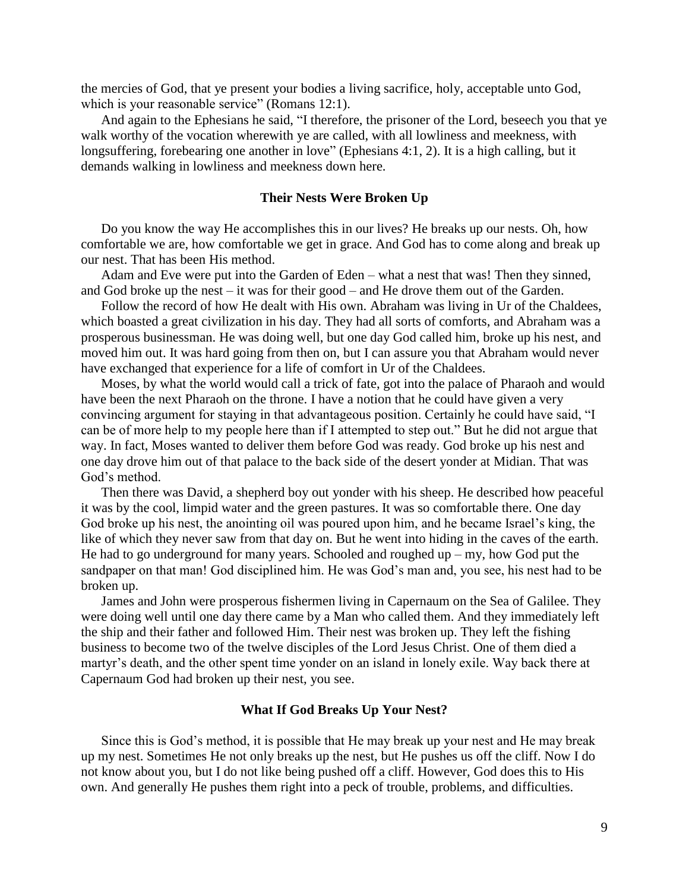the mercies of God, that ye present your bodies a living sacrifice, holy, acceptable unto God, which is your reasonable service" (Romans 12:1).

And again to the Ephesians he said, "I therefore, the prisoner of the Lord, beseech you that ye walk worthy of the vocation wherewith ye are called, with all lowliness and meekness, with longsuffering, forebearing one another in love" (Ephesians 4:1, 2). It is a high calling, but it demands walking in lowliness and meekness down here.

#### **Their Nests Were Broken Up**

Do you know the way He accomplishes this in our lives? He breaks up our nests. Oh, how comfortable we are, how comfortable we get in grace. And God has to come along and break up our nest. That has been His method.

Adam and Eve were put into the Garden of Eden – what a nest that was! Then they sinned, and God broke up the nest – it was for their good – and He drove them out of the Garden.

Follow the record of how He dealt with His own. Abraham was living in Ur of the Chaldees, which boasted a great civilization in his day. They had all sorts of comforts, and Abraham was a prosperous businessman. He was doing well, but one day God called him, broke up his nest, and moved him out. It was hard going from then on, but I can assure you that Abraham would never have exchanged that experience for a life of comfort in Ur of the Chaldees.

Moses, by what the world would call a trick of fate, got into the palace of Pharaoh and would have been the next Pharaoh on the throne. I have a notion that he could have given a very convincing argument for staying in that advantageous position. Certainly he could have said, "I can be of more help to my people here than if I attempted to step out." But he did not argue that way. In fact, Moses wanted to deliver them before God was ready. God broke up his nest and one day drove him out of that palace to the back side of the desert yonder at Midian. That was God's method.

Then there was David, a shepherd boy out yonder with his sheep. He described how peaceful it was by the cool, limpid water and the green pastures. It was so comfortable there. One day God broke up his nest, the anointing oil was poured upon him, and he became Israel's king, the like of which they never saw from that day on. But he went into hiding in the caves of the earth. He had to go underground for many years. Schooled and roughed  $up - my$ , how God put the sandpaper on that man! God disciplined him. He was God's man and, you see, his nest had to be broken up.

James and John were prosperous fishermen living in Capernaum on the Sea of Galilee. They were doing well until one day there came by a Man who called them. And they immediately left the ship and their father and followed Him. Their nest was broken up. They left the fishing business to become two of the twelve disciples of the Lord Jesus Christ. One of them died a martyr's death, and the other spent time yonder on an island in lonely exile. Way back there at Capernaum God had broken up their nest, you see.

### **What If God Breaks Up Your Nest?**

Since this is God's method, it is possible that He may break up your nest and He may break up my nest. Sometimes He not only breaks up the nest, but He pushes us off the cliff. Now I do not know about you, but I do not like being pushed off a cliff. However, God does this to His own. And generally He pushes them right into a peck of trouble, problems, and difficulties.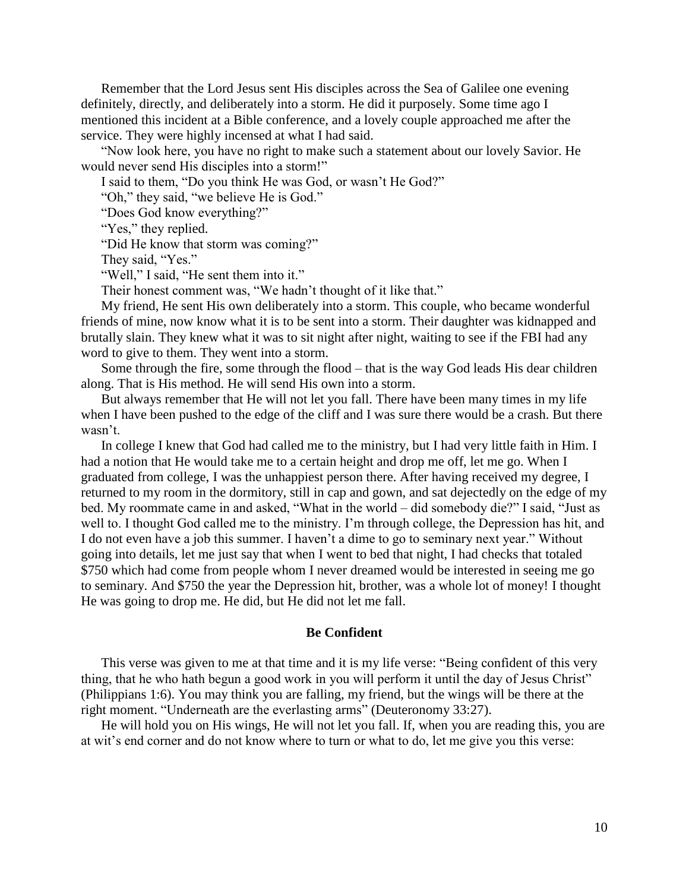Remember that the Lord Jesus sent His disciples across the Sea of Galilee one evening definitely, directly, and deliberately into a storm. He did it purposely. Some time ago I mentioned this incident at a Bible conference, and a lovely couple approached me after the service. They were highly incensed at what I had said.

"Now look here, you have no right to make such a statement about our lovely Savior. He would never send His disciples into a storm!"

I said to them, "Do you think He was God, or wasn't He God?"

"Oh," they said, "we believe He is God."

"Does God know everything?"

"Yes," they replied.

"Did He know that storm was coming?"

They said, "Yes."

"Well," I said, "He sent them into it."

Their honest comment was, "We hadn't thought of it like that."

My friend, He sent His own deliberately into a storm. This couple, who became wonderful friends of mine, now know what it is to be sent into a storm. Their daughter was kidnapped and brutally slain. They knew what it was to sit night after night, waiting to see if the FBI had any word to give to them. They went into a storm.

Some through the fire, some through the flood – that is the way God leads His dear children along. That is His method. He will send His own into a storm.

But always remember that He will not let you fall. There have been many times in my life when I have been pushed to the edge of the cliff and I was sure there would be a crash. But there wasn't.

In college I knew that God had called me to the ministry, but I had very little faith in Him. I had a notion that He would take me to a certain height and drop me off, let me go. When I graduated from college, I was the unhappiest person there. After having received my degree, I returned to my room in the dormitory, still in cap and gown, and sat dejectedly on the edge of my bed. My roommate came in and asked, "What in the world – did somebody die?" I said, "Just as well to. I thought God called me to the ministry. I'm through college, the Depression has hit, and I do not even have a job this summer. I haven't a dime to go to seminary next year." Without going into details, let me just say that when I went to bed that night, I had checks that totaled \$750 which had come from people whom I never dreamed would be interested in seeing me go to seminary. And \$750 the year the Depression hit, brother, was a whole lot of money! I thought He was going to drop me. He did, but He did not let me fall.

## **Be Confident**

This verse was given to me at that time and it is my life verse: "Being confident of this very thing, that he who hath begun a good work in you will perform it until the day of Jesus Christ" (Philippians 1:6). You may think you are falling, my friend, but the wings will be there at the right moment. "Underneath are the everlasting arms" (Deuteronomy 33:27).

He will hold you on His wings, He will not let you fall. If, when you are reading this, you are at wit's end corner and do not know where to turn or what to do, let me give you this verse: